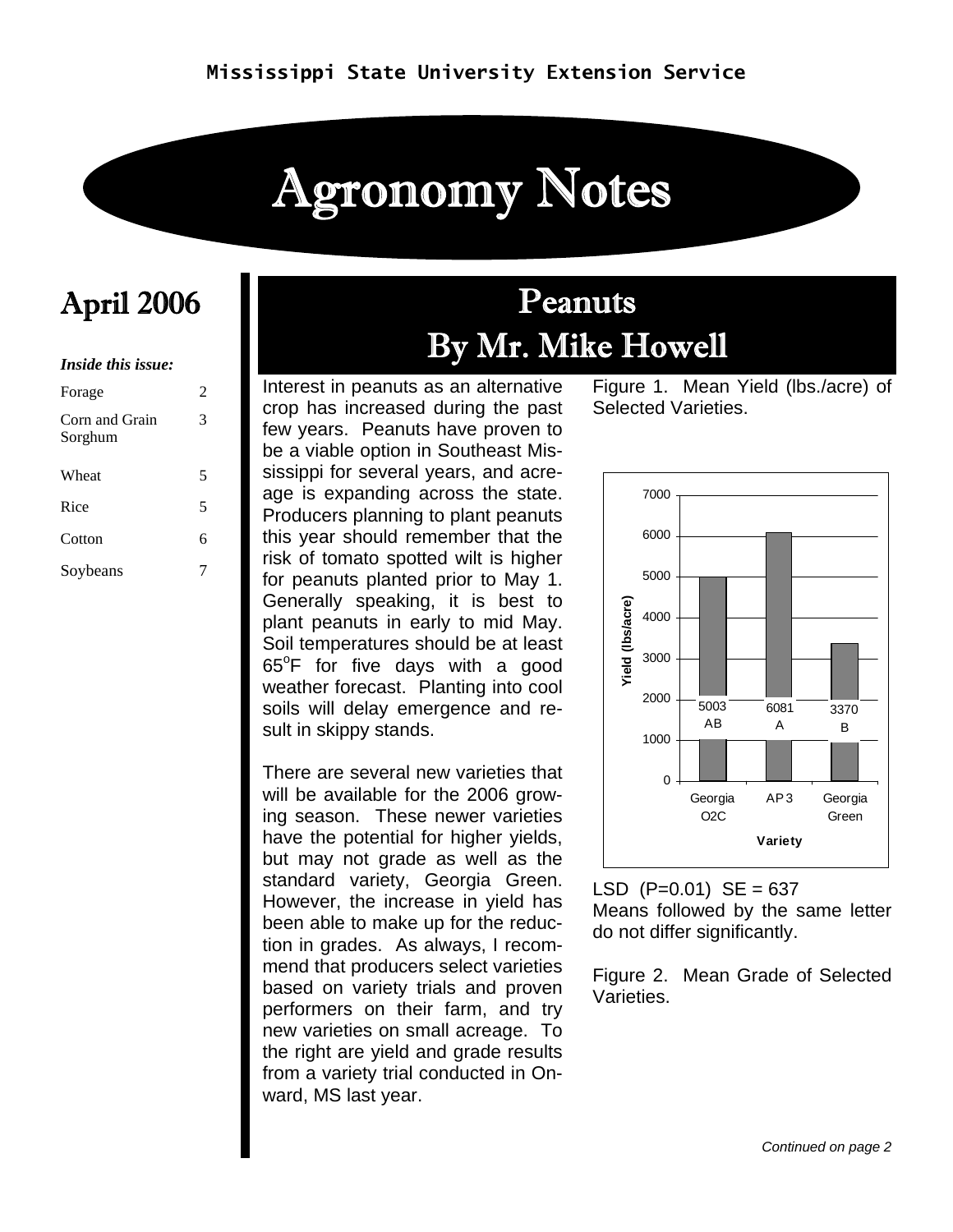# Agronomy Notes

#### *Inside this issue:*

| Forage                    | 2 |
|---------------------------|---|
| Corn and Grain<br>Sorghum | 3 |
| Wheat                     | 5 |
| Rice                      | 5 |
| Cotton                    | 6 |
| Soybeans                  |   |

### April 2006 Peanuts By Mr. Mike Howell

Interest in peanuts as an alternative crop has increased during the past few years. Peanuts have proven to be a viable option in Southeast Mississippi for several years, and acreage is expanding across the state. Producers planning to plant peanuts this year should remember that the risk of tomato spotted wilt is higher for peanuts planted prior to May 1. Generally speaking, it is best to plant peanuts in early to mid May. Soil temperatures should be at least  $65^{\circ}$ F for five days with a good weather forecast. Planting into cool soils will delay emergence and result in skippy stands.

There are several new varieties that will be available for the 2006 growing season. These newer varieties have the potential for higher yields, but may not grade as well as the standard variety, Georgia Green. However, the increase in yield has been able to make up for the reduction in grades. As always, I recommend that producers select varieties based on variety trials and proven performers on their farm, and try new varieties on small acreage. To the right are yield and grade results from a variety trial conducted in Onward, MS last year.

Figure 1. Mean Yield (lbs./acre) of Selected Varieties.



LSD  $(P=0.01)$  SE = 637 Means followed by the same letter do not differ significantly.

Figure 2. Mean Grade of Selected Varieties.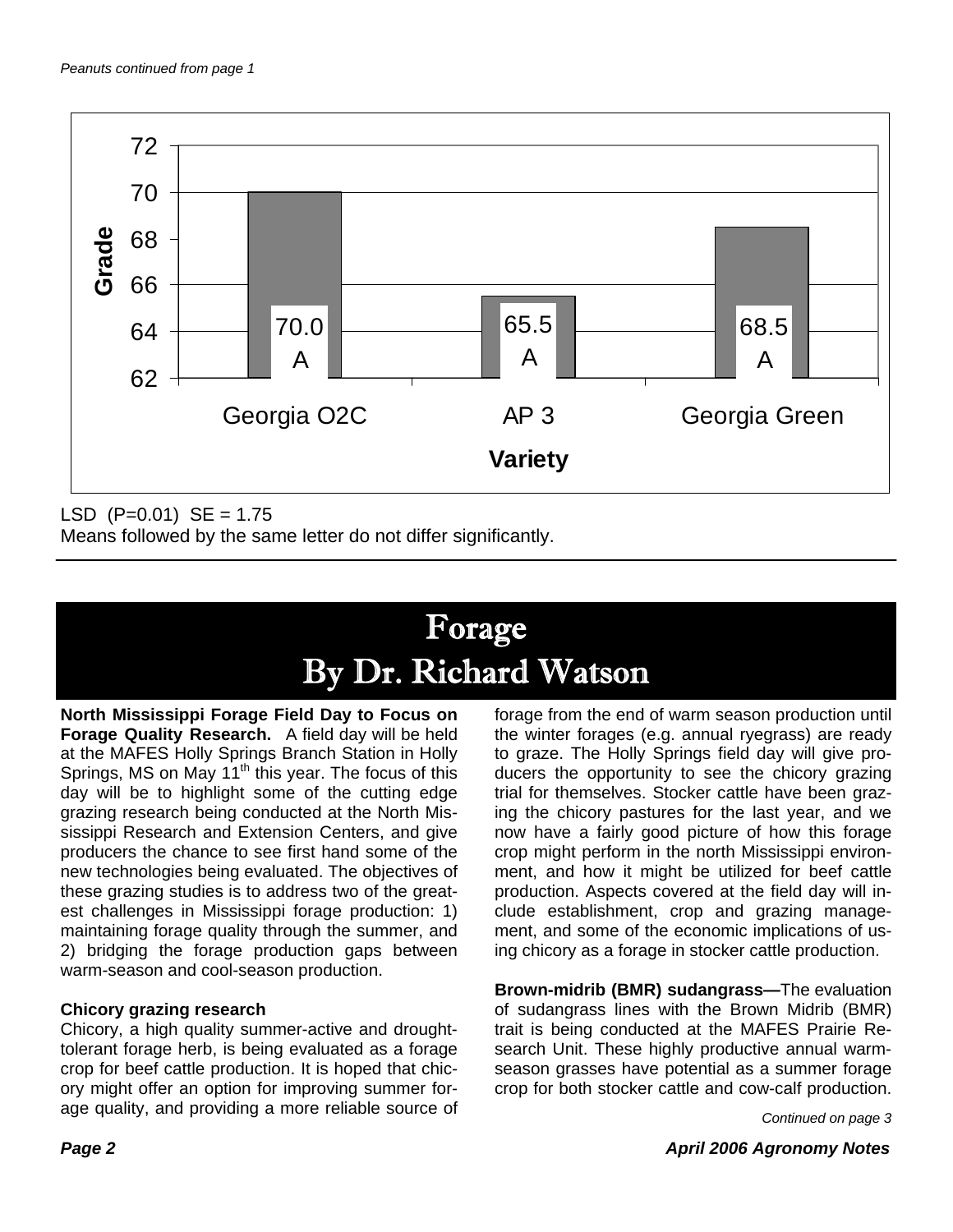

LSD  $(P=0.01)$  SE = 1.75

Means followed by the same letter do not differ significantly.

## Forage By Dr. Richard Watson

**North Mississippi Forage Field Day to Focus on Forage Quality Research.** A field day will be held at the MAFES Holly Springs Branch Station in Holly Springs, MS on May  $11<sup>th</sup>$  this year. The focus of this day will be to highlight some of the cutting edge grazing research being conducted at the North Mississippi Research and Extension Centers, and give producers the chance to see first hand some of the new technologies being evaluated. The objectives of these grazing studies is to address two of the greatest challenges in Mississippi forage production: 1) maintaining forage quality through the summer, and 2) bridging the forage production gaps between warm-season and cool-season production.

#### **Chicory grazing research**

Chicory, a high quality summer-active and droughttolerant forage herb, is being evaluated as a forage crop for beef cattle production. It is hoped that chicory might offer an option for improving summer forage quality, and providing a more reliable source of forage from the end of warm season production until the winter forages (e.g. annual ryegrass) are ready to graze. The Holly Springs field day will give producers the opportunity to see the chicory grazing trial for themselves. Stocker cattle have been grazing the chicory pastures for the last year, and we now have a fairly good picture of how this forage crop might perform in the north Mississippi environment, and how it might be utilized for beef cattle production. Aspects covered at the field day will include establishment, crop and grazing management, and some of the economic implications of using chicory as a forage in stocker cattle production.

**Brown-midrib (BMR) sudangrass—**The evaluation of sudangrass lines with the Brown Midrib (BMR) trait is being conducted at the MAFES Prairie Research Unit. These highly productive annual warmseason grasses have potential as a summer forage crop for both stocker cattle and cow-calf production.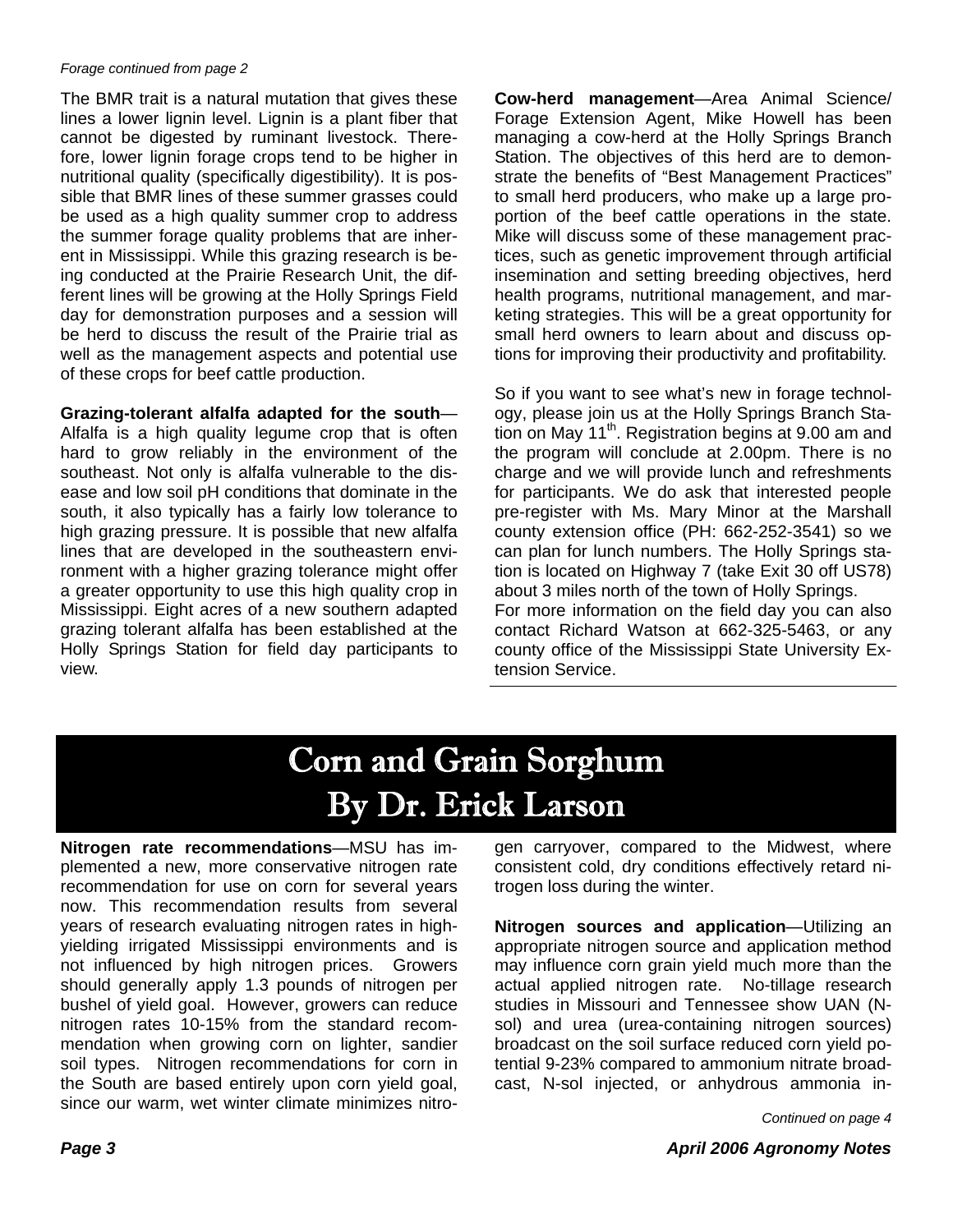#### *Forage continued from page 2*

The BMR trait is a natural mutation that gives these lines a lower lignin level. Lignin is a plant fiber that cannot be digested by ruminant livestock. Therefore, lower lignin forage crops tend to be higher in nutritional quality (specifically digestibility). It is possible that BMR lines of these summer grasses could be used as a high quality summer crop to address the summer forage quality problems that are inherent in Mississippi. While this grazing research is being conducted at the Prairie Research Unit, the different lines will be growing at the Holly Springs Field day for demonstration purposes and a session will be herd to discuss the result of the Prairie trial as well as the management aspects and potential use of these crops for beef cattle production.

**Grazing-tolerant alfalfa adapted for the south**— Alfalfa is a high quality legume crop that is often hard to grow reliably in the environment of the southeast. Not only is alfalfa vulnerable to the disease and low soil pH conditions that dominate in the south, it also typically has a fairly low tolerance to high grazing pressure. It is possible that new alfalfa lines that are developed in the southeastern environment with a higher grazing tolerance might offer a greater opportunity to use this high quality crop in Mississippi. Eight acres of a new southern adapted grazing tolerant alfalfa has been established at the Holly Springs Station for field day participants to view.

**Cow-herd management**—Area Animal Science/ Forage Extension Agent, Mike Howell has been managing a cow-herd at the Holly Springs Branch Station. The objectives of this herd are to demonstrate the benefits of "Best Management Practices" to small herd producers, who make up a large proportion of the beef cattle operations in the state. Mike will discuss some of these management practices, such as genetic improvement through artificial insemination and setting breeding objectives, herd health programs, nutritional management, and marketing strategies. This will be a great opportunity for small herd owners to learn about and discuss options for improving their productivity and profitability.

So if you want to see what's new in forage technology, please join us at the Holly Springs Branch Station on May  $11<sup>th</sup>$ . Registration begins at 9.00 am and the program will conclude at 2.00pm. There is no charge and we will provide lunch and refreshments for participants. We do ask that interested people pre-register with Ms. Mary Minor at the Marshall county extension office (PH: 662-252-3541) so we can plan for lunch numbers. The Holly Springs station is located on Highway 7 (take Exit 30 off US78) about 3 miles north of the town of Holly Springs. For more information on the field day you can also contact Richard Watson at 662-325-5463, or any county office of the Mississippi State University Ex-

#### tension Service.

### Corn and Grain Sorghum By Dr. Erick Larson

**Nitrogen rate recommendations**—MSU has implemented a new, more conservative nitrogen rate recommendation for use on corn for several years now. This recommendation results from several years of research evaluating nitrogen rates in highyielding irrigated Mississippi environments and is not influenced by high nitrogen prices. Growers should generally apply 1.3 pounds of nitrogen per bushel of yield goal. However, growers can reduce nitrogen rates 10-15% from the standard recommendation when growing corn on lighter, sandier soil types. Nitrogen recommendations for corn in the South are based entirely upon corn yield goal, since our warm, wet winter climate minimizes nitrogen carryover, compared to the Midwest, where consistent cold, dry conditions effectively retard nitrogen loss during the winter.

**Nitrogen sources and application**—Utilizing an appropriate nitrogen source and application method may influence corn grain yield much more than the actual applied nitrogen rate. No-tillage research studies in Missouri and Tennessee show UAN (Nsol) and urea (urea-containing nitrogen sources) broadcast on the soil surface reduced corn yield potential 9-23% compared to ammonium nitrate broadcast, N-sol injected, or anhydrous ammonia in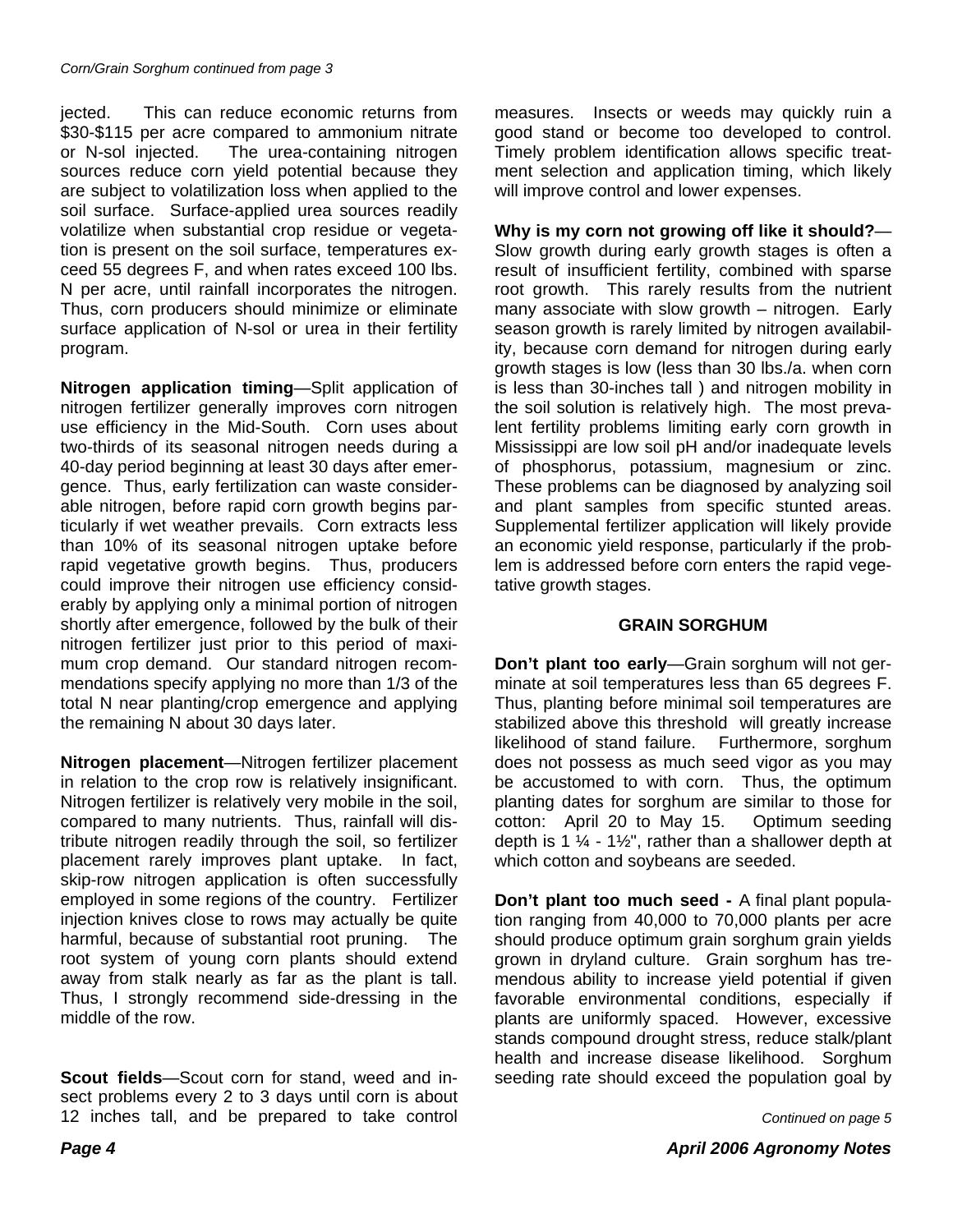jected. This can reduce economic returns from \$30-\$115 per acre compared to ammonium nitrate or N-sol injected. The urea-containing nitrogen sources reduce corn yield potential because they are subject to volatilization loss when applied to the soil surface. Surface-applied urea sources readily volatilize when substantial crop residue or vegetation is present on the soil surface, temperatures exceed 55 degrees F, and when rates exceed 100 lbs. N per acre, until rainfall incorporates the nitrogen. Thus, corn producers should minimize or eliminate surface application of N-sol or urea in their fertility program.

**Nitrogen application timing**—Split application of nitrogen fertilizer generally improves corn nitrogen use efficiency in the Mid-South. Corn uses about two-thirds of its seasonal nitrogen needs during a 40-day period beginning at least 30 days after emergence. Thus, early fertilization can waste considerable nitrogen, before rapid corn growth begins particularly if wet weather prevails. Corn extracts less than 10% of its seasonal nitrogen uptake before rapid vegetative growth begins. Thus, producers could improve their nitrogen use efficiency considerably by applying only a minimal portion of nitrogen shortly after emergence, followed by the bulk of their nitrogen fertilizer just prior to this period of maximum crop demand. Our standard nitrogen recommendations specify applying no more than 1/3 of the total N near planting/crop emergence and applying the remaining N about 30 days later.

**Nitrogen placement**—Nitrogen fertilizer placement in relation to the crop row is relatively insignificant. Nitrogen fertilizer is relatively very mobile in the soil, compared to many nutrients. Thus, rainfall will distribute nitrogen readily through the soil, so fertilizer placement rarely improves plant uptake. In fact, skip-row nitrogen application is often successfully employed in some regions of the country. Fertilizer injection knives close to rows may actually be quite harmful, because of substantial root pruning. The root system of young corn plants should extend away from stalk nearly as far as the plant is tall. Thus, I strongly recommend side-dressing in the middle of the row.

**Scout fields**—Scout corn for stand, weed and insect problems every 2 to 3 days until corn is about 12 inches tall, and be prepared to take control

measures. Insects or weeds may quickly ruin a good stand or become too developed to control. Timely problem identification allows specific treatment selection and application timing, which likely will improve control and lower expenses.

**Why is my corn not growing off like it should?**— Slow growth during early growth stages is often a result of insufficient fertility, combined with sparse root growth. This rarely results from the nutrient many associate with slow growth – nitrogen. Early season growth is rarely limited by nitrogen availability, because corn demand for nitrogen during early growth stages is low (less than 30 lbs./a. when corn is less than 30-inches tall ) and nitrogen mobility in the soil solution is relatively high. The most prevalent fertility problems limiting early corn growth in Mississippi are low soil pH and/or inadequate levels of phosphorus, potassium, magnesium or zinc. These problems can be diagnosed by analyzing soil and plant samples from specific stunted areas. Supplemental fertilizer application will likely provide an economic yield response, particularly if the problem is addressed before corn enters the rapid vegetative growth stages.

#### **GRAIN SORGHUM**

**Don't plant too early**—Grain sorghum will not germinate at soil temperatures less than 65 degrees F. Thus, planting before minimal soil temperatures are stabilized above this threshold will greatly increase likelihood of stand failure. Furthermore, sorghum does not possess as much seed vigor as you may be accustomed to with corn. Thus, the optimum planting dates for sorghum are similar to those for cotton: April 20 to May 15. Optimum seeding depth is 1  $\frac{1}{4}$  - 1½", rather than a shallower depth at which cotton and soybeans are seeded.

**Don't plant too much seed -** A final plant population ranging from 40,000 to 70,000 plants per acre should produce optimum grain sorghum grain yields grown in dryland culture. Grain sorghum has tremendous ability to increase yield potential if given favorable environmental conditions, especially if plants are uniformly spaced. However, excessive stands compound drought stress, reduce stalk/plant health and increase disease likelihood. Sorghum seeding rate should exceed the population goal by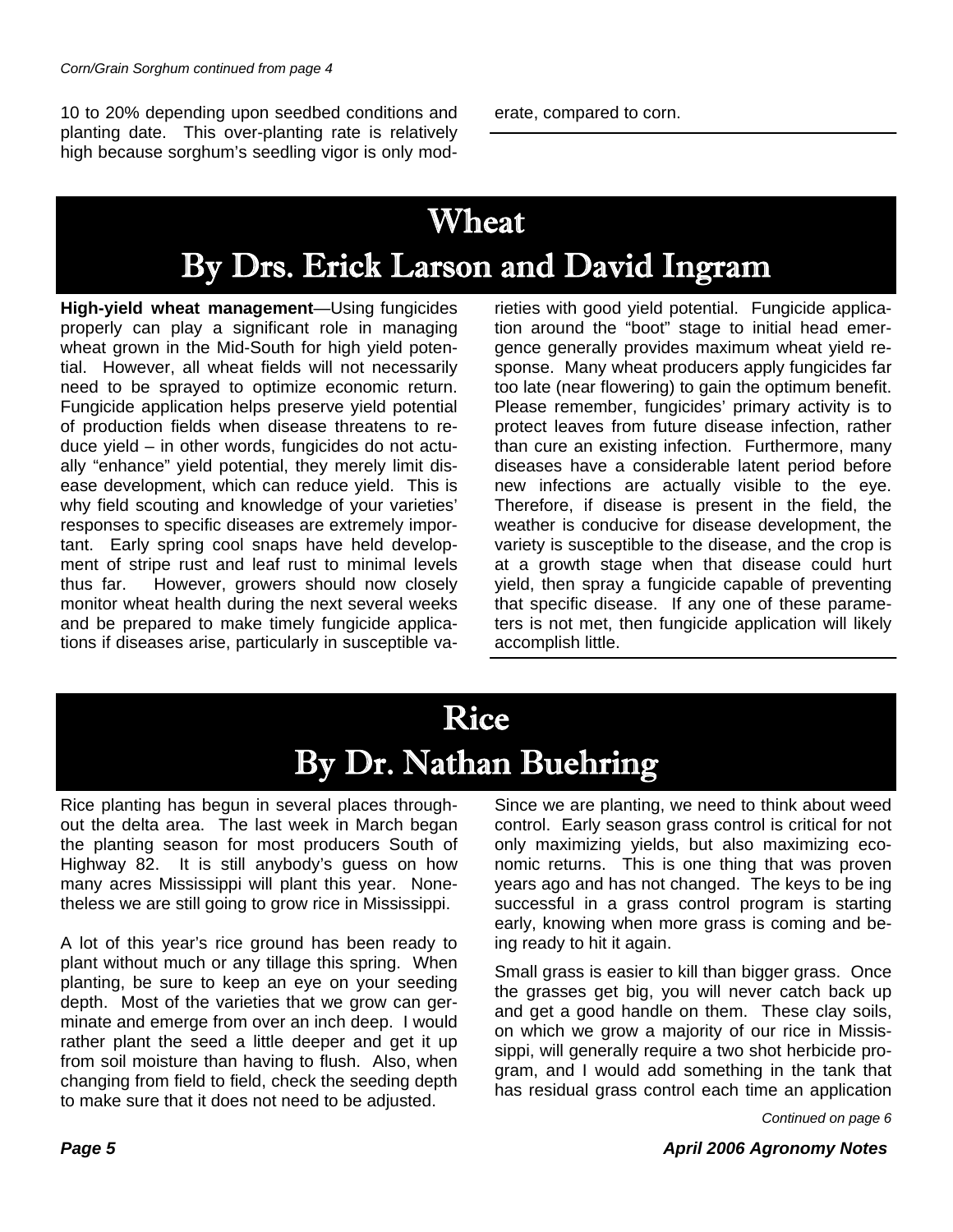10 to 20% depending upon seedbed conditions and planting date. This over-planting rate is relatively high because sorghum's seedling vigor is only moderate, compared to corn.

### Wheat By Drs. Erick Larson and David Ingram

**High-yield wheat management**—Using fungicides properly can play a significant role in managing wheat grown in the Mid-South for high yield potential. However, all wheat fields will not necessarily need to be sprayed to optimize economic return. Fungicide application helps preserve yield potential of production fields when disease threatens to reduce yield – in other words, fungicides do not actually "enhance" yield potential, they merely limit disease development, which can reduce yield. This is why field scouting and knowledge of your varieties' responses to specific diseases are extremely important. Early spring cool snaps have held development of stripe rust and leaf rust to minimal levels thus far. However, growers should now closely monitor wheat health during the next several weeks and be prepared to make timely fungicide applications if diseases arise, particularly in susceptible va-

rieties with good yield potential. Fungicide application around the "boot" stage to initial head emergence generally provides maximum wheat yield response. Many wheat producers apply fungicides far too late (near flowering) to gain the optimum benefit. Please remember, fungicides' primary activity is to protect leaves from future disease infection, rather than cure an existing infection. Furthermore, many diseases have a considerable latent period before new infections are actually visible to the eye. Therefore, if disease is present in the field, the weather is conducive for disease development, the variety is susceptible to the disease, and the crop is at a growth stage when that disease could hurt yield, then spray a fungicide capable of preventing that specific disease. If any one of these parameters is not met, then fungicide application will likely accomplish little.

### Rice By Dr. Nathan Buehring

Rice planting has begun in several places throughout the delta area. The last week in March began the planting season for most producers South of Highway 82. It is still anybody's guess on how many acres Mississippi will plant this year. Nonetheless we are still going to grow rice in Mississippi.

A lot of this year's rice ground has been ready to plant without much or any tillage this spring. When planting, be sure to keep an eye on your seeding depth. Most of the varieties that we grow can germinate and emerge from over an inch deep. I would rather plant the seed a little deeper and get it up from soil moisture than having to flush. Also, when changing from field to field, check the seeding depth to make sure that it does not need to be adjusted.

Since we are planting, we need to think about weed control. Early season grass control is critical for not only maximizing yields, but also maximizing economic returns. This is one thing that was proven years ago and has not changed. The keys to be ing successful in a grass control program is starting early, knowing when more grass is coming and being ready to hit it again.

Small grass is easier to kill than bigger grass. Once the grasses get big, you will never catch back up and get a good handle on them. These clay soils, on which we grow a majority of our rice in Mississippi, will generally require a two shot herbicide program, and I would add something in the tank that has residual grass control each time an application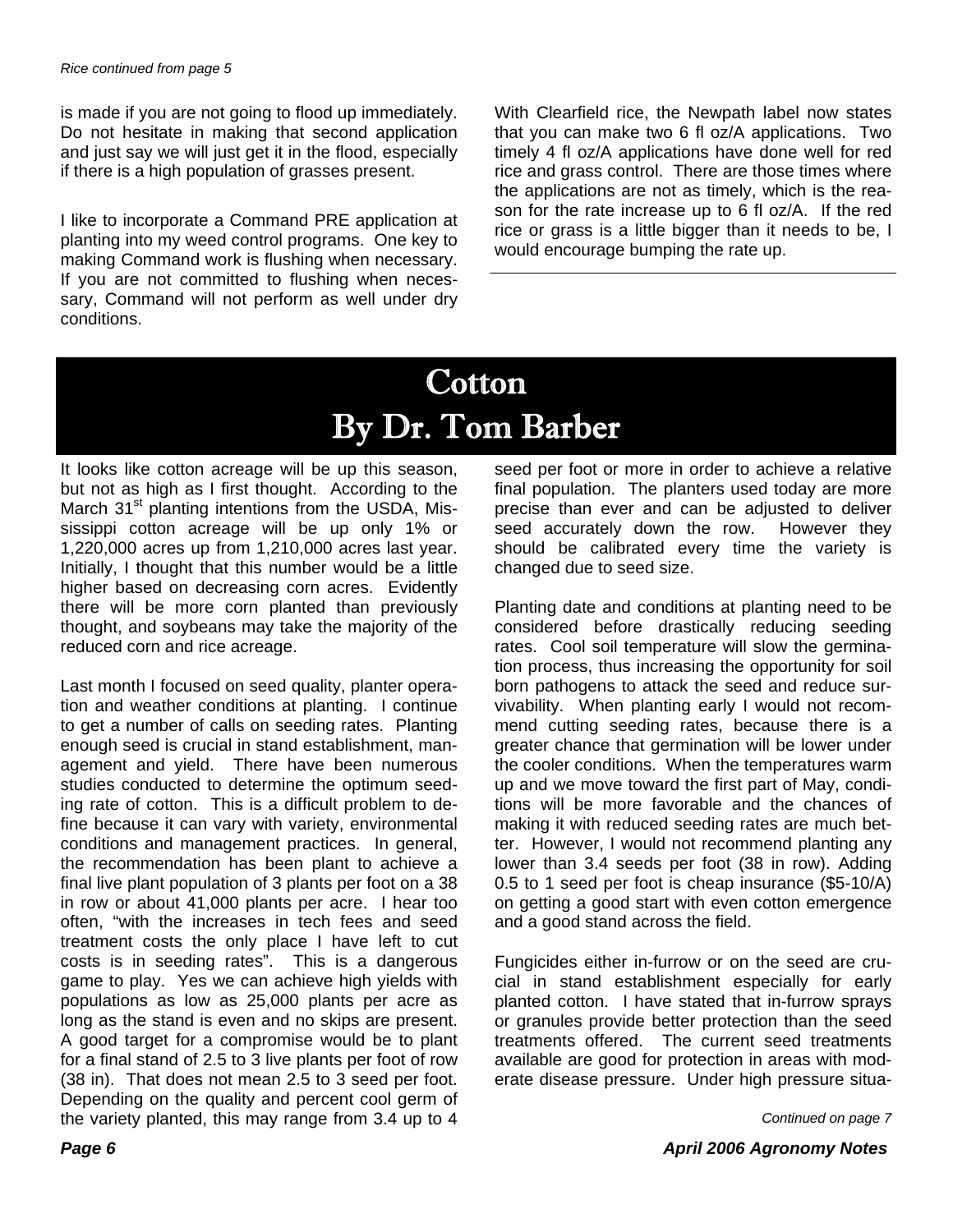is made if you are not going to flood up immediately. Do not hesitate in making that second application and just say we will just get it in the flood, especially if there is a high population of grasses present.

I like to incorporate a Command PRE application at planting into my weed control programs. One key to making Command work is flushing when necessary. If you are not committed to flushing when necessary, Command will not perform as well under dry conditions.

With Clearfield rice, the Newpath label now states that you can make two 6 fl oz/A applications. Two timely 4 fl oz/A applications have done well for red rice and grass control. There are those times where the applications are not as timely, which is the reason for the rate increase up to 6 fl oz/A. If the red rice or grass is a little bigger than it needs to be, I would encourage bumping the rate up.

### Cotton By Dr. Tom Barber

It looks like cotton acreage will be up this season, but not as high as I first thought. According to the March 31<sup>st</sup> planting intentions from the USDA, Mississippi cotton acreage will be up only 1% or 1,220,000 acres up from 1,210,000 acres last year. Initially, I thought that this number would be a little higher based on decreasing corn acres. Evidently there will be more corn planted than previously thought, and soybeans may take the majority of the reduced corn and rice acreage.

Last month I focused on seed quality, planter operation and weather conditions at planting. I continue to get a number of calls on seeding rates. Planting enough seed is crucial in stand establishment, management and yield. There have been numerous studies conducted to determine the optimum seeding rate of cotton. This is a difficult problem to define because it can vary with variety, environmental conditions and management practices. In general, the recommendation has been plant to achieve a final live plant population of 3 plants per foot on a 38 in row or about 41,000 plants per acre. I hear too often, "with the increases in tech fees and seed treatment costs the only place I have left to cut costs is in seeding rates". This is a dangerous game to play. Yes we can achieve high yields with populations as low as 25,000 plants per acre as long as the stand is even and no skips are present. A good target for a compromise would be to plant for a final stand of 2.5 to 3 live plants per foot of row (38 in). That does not mean 2.5 to 3 seed per foot. Depending on the quality and percent cool germ of the variety planted, this may range from 3.4 up to 4 seed per foot or more in order to achieve a relative final population. The planters used today are more precise than ever and can be adjusted to deliver seed accurately down the row. However they should be calibrated every time the variety is changed due to seed size.

Planting date and conditions at planting need to be considered before drastically reducing seeding rates. Cool soil temperature will slow the germination process, thus increasing the opportunity for soil born pathogens to attack the seed and reduce survivability. When planting early I would not recommend cutting seeding rates, because there is a greater chance that germination will be lower under the cooler conditions. When the temperatures warm up and we move toward the first part of May, conditions will be more favorable and the chances of making it with reduced seeding rates are much better. However, I would not recommend planting any lower than 3.4 seeds per foot (38 in row). Adding 0.5 to 1 seed per foot is cheap insurance (\$5-10/A) on getting a good start with even cotton emergence and a good stand across the field.

Fungicides either in-furrow or on the seed are crucial in stand establishment especially for early planted cotton. I have stated that in-furrow sprays or granules provide better protection than the seed treatments offered. The current seed treatments available are good for protection in areas with moderate disease pressure. Under high pressure situa-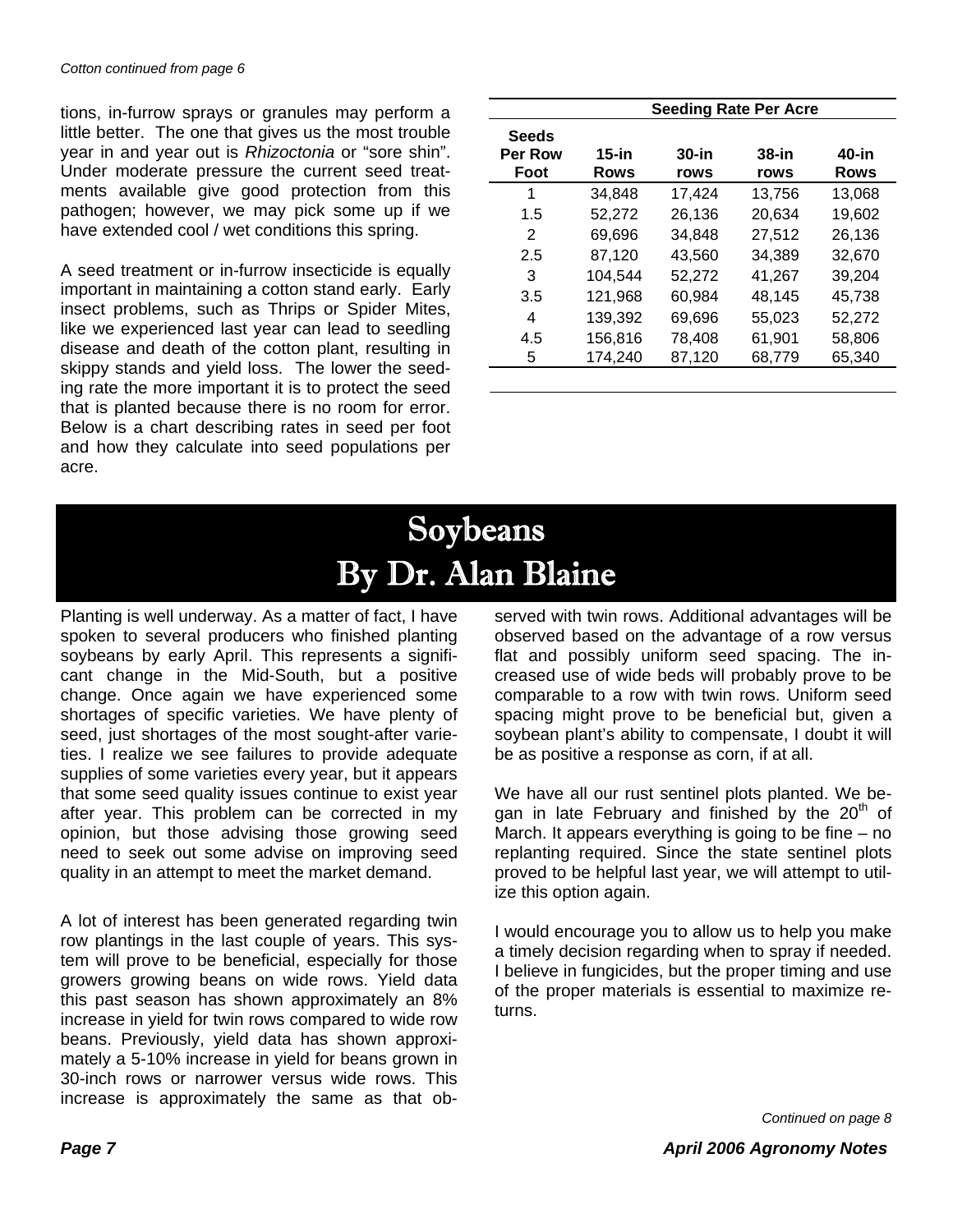tions, in-furrow sprays or granules may perform a little better. The one that gives us the most trouble year in and year out is *Rhizoctonia* or "sore shin". Under moderate pressure the current seed treatments available give good protection from this pathogen; however, we may pick some up if we have extended cool / wet conditions this spring.

A seed treatment or in-furrow insecticide is equally important in maintaining a cotton stand early. Early insect problems, such as Thrips or Spider Mites, like we experienced last year can lead to seedling disease and death of the cotton plant, resulting in skippy stands and yield loss. The lower the seeding rate the more important it is to protect the seed that is planted because there is no room for error. Below is a chart describing rates in seed per foot and how they calculate into seed populations per acre.

|                                        | <b>Seeding Rate Per Acre</b> |                  |               |                      |
|----------------------------------------|------------------------------|------------------|---------------|----------------------|
| <b>Seeds</b><br><b>Per Row</b><br>Foot | $15$ -in<br>Rows             | $30$ -in<br>rows | 38-in<br>rows | 40-in<br><b>Rows</b> |
| 1                                      | 34,848                       | 17,424           | 13,756        | 13,068               |
| 1.5                                    | 52,272                       | 26,136           | 20,634        | 19,602               |
| 2                                      | 69,696                       | 34.848           | 27,512        | 26,136               |
| 2.5                                    | 87,120                       | 43.560           | 34.389        | 32,670               |
| 3                                      | 104.544                      | 52,272           | 41.267        | 39,204               |
| 3.5                                    | 121,968                      | 60.984           | 48,145        | 45,738               |
| 4                                      | 139,392                      | 69.696           | 55.023        | 52,272               |
| 4.5                                    | 156,816                      | 78,408           | 61,901        | 58,806               |
| 5                                      | 174,240                      | 87,120           | 68,779        | 65,340               |

## Soybeans By Dr. Alan Blaine

Planting is well underway. As a matter of fact, I have spoken to several producers who finished planting soybeans by early April. This represents a significant change in the Mid-South, but a positive change. Once again we have experienced some shortages of specific varieties. We have plenty of seed, just shortages of the most sought-after varieties. I realize we see failures to provide adequate supplies of some varieties every year, but it appears that some seed quality issues continue to exist year after year. This problem can be corrected in my opinion, but those advising those growing seed need to seek out some advise on improving seed quality in an attempt to meet the market demand.

A lot of interest has been generated regarding twin row plantings in the last couple of years. This system will prove to be beneficial, especially for those growers growing beans on wide rows. Yield data this past season has shown approximately an 8% increase in yield for twin rows compared to wide row beans. Previously, yield data has shown approximately a 5-10% increase in yield for beans grown in 30-inch rows or narrower versus wide rows. This increase is approximately the same as that ob-

served with twin rows. Additional advantages will be observed based on the advantage of a row versus flat and possibly uniform seed spacing. The increased use of wide beds will probably prove to be comparable to a row with twin rows. Uniform seed spacing might prove to be beneficial but, given a soybean plant's ability to compensate, I doubt it will be as positive a response as corn, if at all.

We have all our rust sentinel plots planted. We began in late February and finished by the  $20<sup>th</sup>$  of March. It appears everything is going to be fine – no replanting required. Since the state sentinel plots proved to be helpful last year, we will attempt to utilize this option again.

I would encourage you to allow us to help you make a timely decision regarding when to spray if needed. I believe in fungicides, but the proper timing and use of the proper materials is essential to maximize returns.